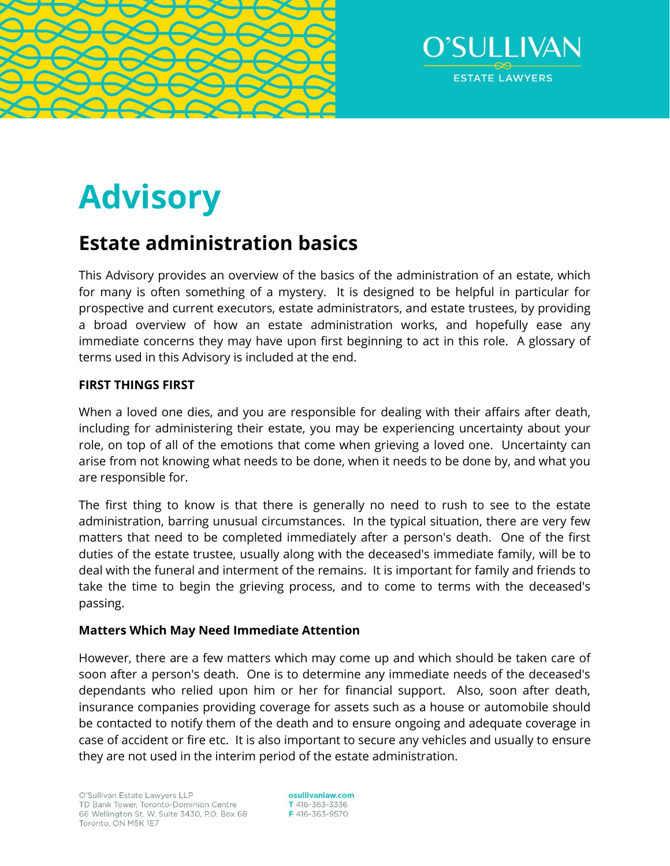



# **Advisory**

# **Estate administration basics**

This Advisory provides an overview of the basics of the administration of an estate, which for many is often something of a mystery. It is designed to be helpful in particular for prospective and current executors, estate administrators, and estate trustees, by providing a broad overview of how an estate administration works, and hopefully ease any immediate concerns they may have upon first beginning to act in this role. A glossary of terms used in this Advisory is included at the end.

# **FIRST THINGS FIRST**

When a loved one dies, and you are responsible for dealing with their affairs after death, including for administering their estate, you may be experiencing uncertainty about your role, on top of all of the emotions that come when grieving a loved one. Uncertainty can arise from not knowing what needs to be done, when it needs to be done by, and what you are responsible for.

The first thing to know is that there is generally no need to rush to see to the estate administration, barring unusual circumstances. In the typical situation, there are very few matters that need to be completed immediately after a person's death. One of the first duties of the estate trustee, usually along with the deceased's immediate family, will be to deal with the funeral and interment of the remains. It is important for family and friends to take the time to begin the grieving process, and to come to terms with the deceased's passing.

# **Matters Which May Need Immediate Attention**

However, there are a few matters which may come up and which should be taken care of soon after a person's death. One is to determine any immediate needs of the deceased's dependants who relied upon him or her for financial support. Also, soon after death, insurance companies providing coverage for assets such as a house or automobile should be contacted to notify them of the death and to ensure ongoing and adequate coverage in case of accident or fire etc. It is also important to secure any vehicles and usually to ensure they are not used in the interim period of the estate administration.

osullivanlaw.com T 416-363-3336 F416-363-9570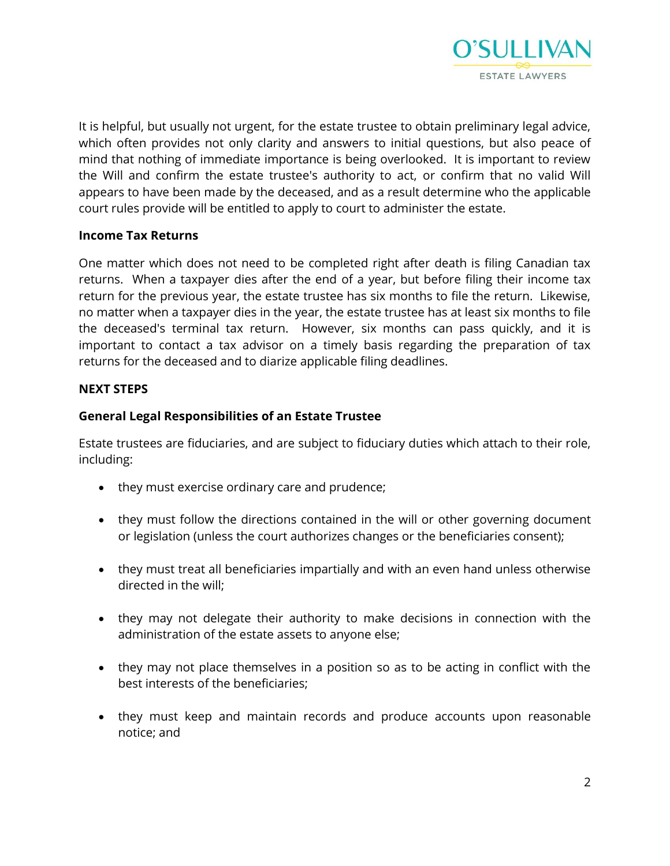

It is helpful, but usually not urgent, for the estate trustee to obtain preliminary legal advice, which often provides not only clarity and answers to initial questions, but also peace of mind that nothing of immediate importance is being overlooked. It is important to review the Will and confirm the estate trustee's authority to act, or confirm that no valid Will appears to have been made by the deceased, and as a result determine who the applicable court rules provide will be entitled to apply to court to administer the estate.

# **Income Tax Returns**

One matter which does not need to be completed right after death is filing Canadian tax returns. When a taxpayer dies after the end of a year, but before filing their income tax return for the previous year, the estate trustee has six months to file the return. Likewise, no matter when a taxpayer dies in the year, the estate trustee has at least six months to file the deceased's terminal tax return. However, six months can pass quickly, and it is important to contact a tax advisor on a timely basis regarding the preparation of tax returns for the deceased and to diarize applicable filing deadlines.

# **NEXT STEPS**

# **General Legal Responsibilities of an Estate Trustee**

Estate trustees are fiduciaries, and are subject to fiduciary duties which attach to their role, including:

- they must exercise ordinary care and prudence;
- they must follow the directions contained in the will or other governing document or legislation (unless the court authorizes changes or the beneficiaries consent);
- they must treat all beneficiaries impartially and with an even hand unless otherwise directed in the will;
- they may not delegate their authority to make decisions in connection with the administration of the estate assets to anyone else;
- they may not place themselves in a position so as to be acting in conflict with the best interests of the beneficiaries;
- they must keep and maintain records and produce accounts upon reasonable notice; and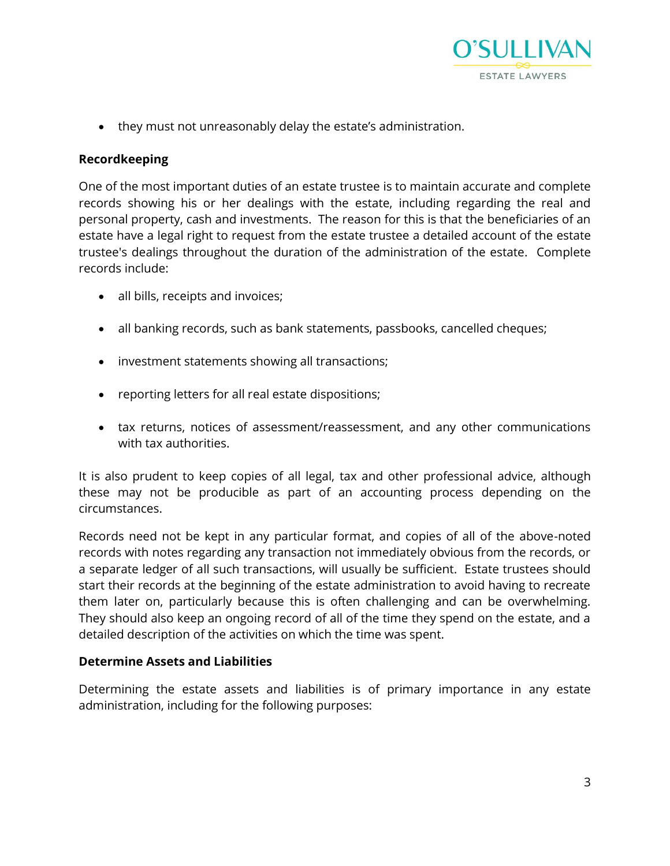

they must not unreasonably delay the estate's administration.

# **Recordkeeping**

One of the most important duties of an estate trustee is to maintain accurate and complete records showing his or her dealings with the estate, including regarding the real and personal property, cash and investments. The reason for this is that the beneficiaries of an estate have a legal right to request from the estate trustee a detailed account of the estate trustee's dealings throughout the duration of the administration of the estate. Complete records include:

- all bills, receipts and invoices;
- all banking records, such as bank statements, passbooks, cancelled cheques;
- investment statements showing all transactions;
- reporting letters for all real estate dispositions;
- tax returns, notices of assessment/reassessment, and any other communications with tax authorities.

It is also prudent to keep copies of all legal, tax and other professional advice, although these may not be producible as part of an accounting process depending on the circumstances.

Records need not be kept in any particular format, and copies of all of the above-noted records with notes regarding any transaction not immediately obvious from the records, or a separate ledger of all such transactions, will usually be sufficient. Estate trustees should start their records at the beginning of the estate administration to avoid having to recreate them later on, particularly because this is often challenging and can be overwhelming. They should also keep an ongoing record of all of the time they spend on the estate, and a detailed description of the activities on which the time was spent.

# **Determine Assets and Liabilities**

Determining the estate assets and liabilities is of primary importance in any estate administration, including for the following purposes: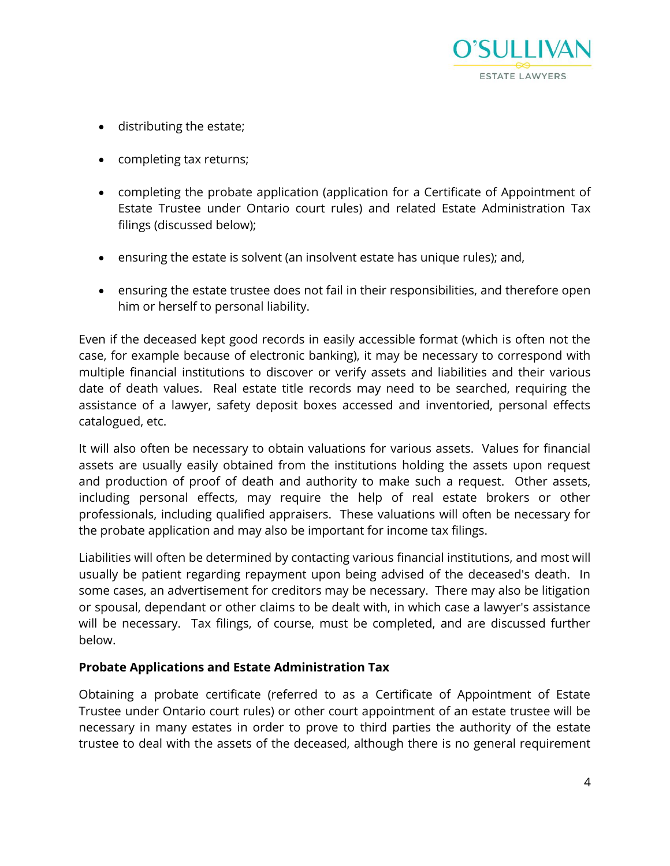

- distributing the estate;
- completing tax returns;
- completing the probate application (application for a Certificate of Appointment of Estate Trustee under Ontario court rules) and related Estate Administration Tax filings (discussed below);
- ensuring the estate is solvent (an insolvent estate has unique rules); and,
- ensuring the estate trustee does not fail in their responsibilities, and therefore open him or herself to personal liability.

Even if the deceased kept good records in easily accessible format (which is often not the case, for example because of electronic banking), it may be necessary to correspond with multiple financial institutions to discover or verify assets and liabilities and their various date of death values. Real estate title records may need to be searched, requiring the assistance of a lawyer, safety deposit boxes accessed and inventoried, personal effects catalogued, etc.

It will also often be necessary to obtain valuations for various assets. Values for financial assets are usually easily obtained from the institutions holding the assets upon request and production of proof of death and authority to make such a request. Other assets, including personal effects, may require the help of real estate brokers or other professionals, including qualified appraisers. These valuations will often be necessary for the probate application and may also be important for income tax filings.

Liabilities will often be determined by contacting various financial institutions, and most will usually be patient regarding repayment upon being advised of the deceased's death. In some cases, an advertisement for creditors may be necessary. There may also be litigation or spousal, dependant or other claims to be dealt with, in which case a lawyer's assistance will be necessary. Tax filings, of course, must be completed, and are discussed further below.

# **Probate Applications and Estate Administration Tax**

Obtaining a probate certificate (referred to as a Certificate of Appointment of Estate Trustee under Ontario court rules) or other court appointment of an estate trustee will be necessary in many estates in order to prove to third parties the authority of the estate trustee to deal with the assets of the deceased, although there is no general requirement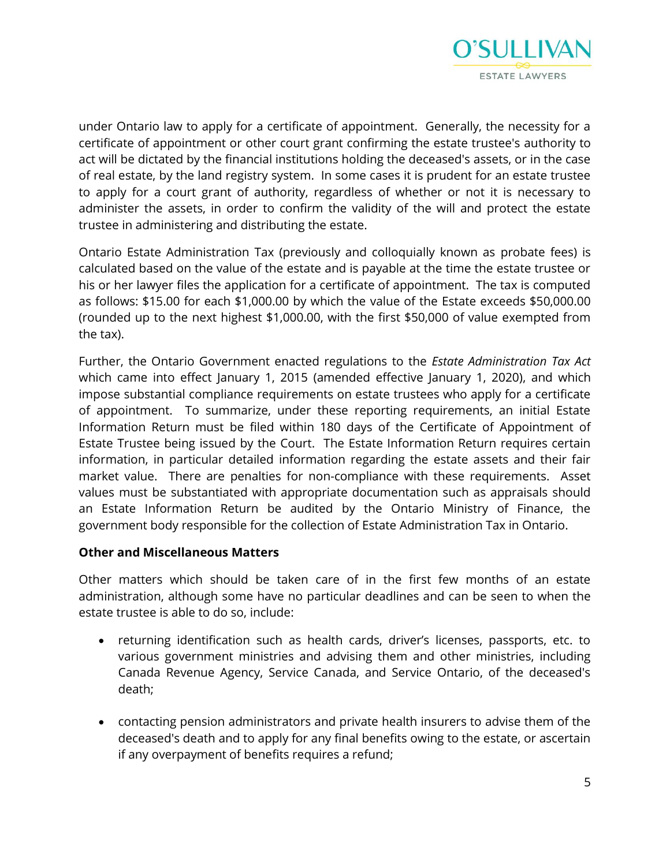

under Ontario law to apply for a certificate of appointment. Generally, the necessity for a certificate of appointment or other court grant confirming the estate trustee's authority to act will be dictated by the financial institutions holding the deceased's assets, or in the case of real estate, by the land registry system. In some cases it is prudent for an estate trustee to apply for a court grant of authority, regardless of whether or not it is necessary to administer the assets, in order to confirm the validity of the will and protect the estate trustee in administering and distributing the estate.

Ontario Estate Administration Tax (previously and colloquially known as probate fees) is calculated based on the value of the estate and is payable at the time the estate trustee or his or her lawyer files the application for a certificate of appointment. The tax is computed as follows: \$15.00 for each \$1,000.00 by which the value of the Estate exceeds \$50,000.00 (rounded up to the next highest \$1,000.00, with the first \$50,000 of value exempted from the tax).

Further, the Ontario Government enacted regulations to the *Estate Administration Tax Act* which came into effect January 1, 2015 (amended effective January 1, 2020), and which impose substantial compliance requirements on estate trustees who apply for a certificate of appointment. To summarize, under these reporting requirements, an initial Estate Information Return must be filed within 180 days of the Certificate of Appointment of Estate Trustee being issued by the Court. The Estate Information Return requires certain information, in particular detailed information regarding the estate assets and their fair market value. There are penalties for non-compliance with these requirements. Asset values must be substantiated with appropriate documentation such as appraisals should an Estate Information Return be audited by the Ontario Ministry of Finance, the government body responsible for the collection of Estate Administration Tax in Ontario.

#### **Other and Miscellaneous Matters**

Other matters which should be taken care of in the first few months of an estate administration, although some have no particular deadlines and can be seen to when the estate trustee is able to do so, include:

- returning identification such as health cards, driver's licenses, passports, etc. to various government ministries and advising them and other ministries, including Canada Revenue Agency, Service Canada, and Service Ontario, of the deceased's death;
- contacting pension administrators and private health insurers to advise them of the deceased's death and to apply for any final benefits owing to the estate, or ascertain if any overpayment of benefits requires a refund;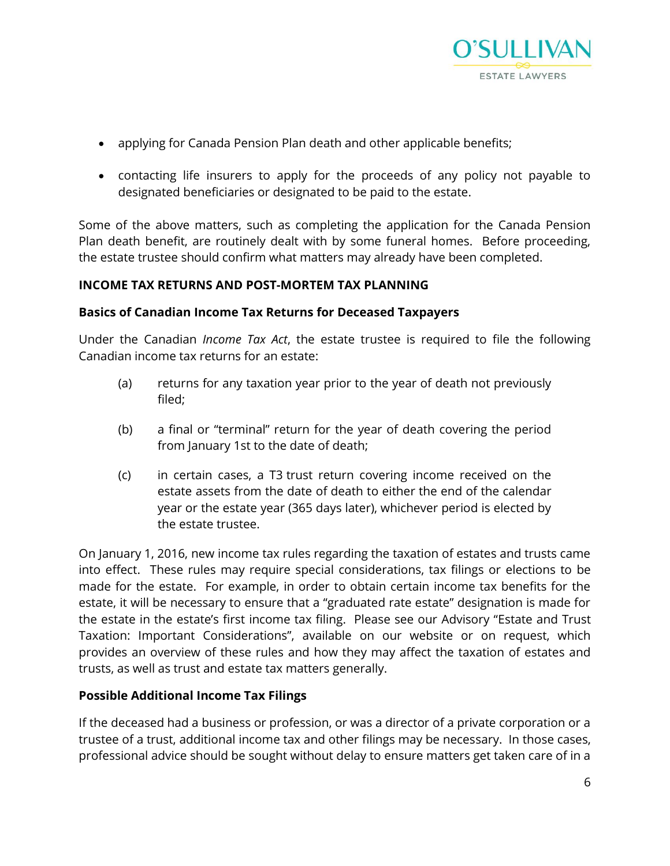

- applying for Canada Pension Plan death and other applicable benefits;
- contacting life insurers to apply for the proceeds of any policy not payable to designated beneficiaries or designated to be paid to the estate.

Some of the above matters, such as completing the application for the Canada Pension Plan death benefit, are routinely dealt with by some funeral homes. Before proceeding, the estate trustee should confirm what matters may already have been completed.

# **INCOME TAX RETURNS AND POST-MORTEM TAX PLANNING**

# **Basics of Canadian Income Tax Returns for Deceased Taxpayers**

Under the Canadian *Income Tax Act*, the estate trustee is required to file the following Canadian income tax returns for an estate:

- (a) returns for any taxation year prior to the year of death not previously filed;
- (b) a final or "terminal" return for the year of death covering the period from January 1st to the date of death;
- (c) in certain cases, a T3 trust return covering income received on the estate assets from the date of death to either the end of the calendar year or the estate year (365 days later), whichever period is elected by the estate trustee.

On January 1, 2016, new income tax rules regarding the taxation of estates and trusts came into effect. These rules may require special considerations, tax filings or elections to be made for the estate. For example, in order to obtain certain income tax benefits for the estate, it will be necessary to ensure that a "graduated rate estate" designation is made for the estate in the estate's first income tax filing. Please see our Advisory "Estate and Trust Taxation: Important Considerations", available on our website or on request, which provides an overview of these rules and how they may affect the taxation of estates and trusts, as well as trust and estate tax matters generally.

# **Possible Additional Income Tax Filings**

If the deceased had a business or profession, or was a director of a private corporation or a trustee of a trust, additional income tax and other filings may be necessary. In those cases, professional advice should be sought without delay to ensure matters get taken care of in a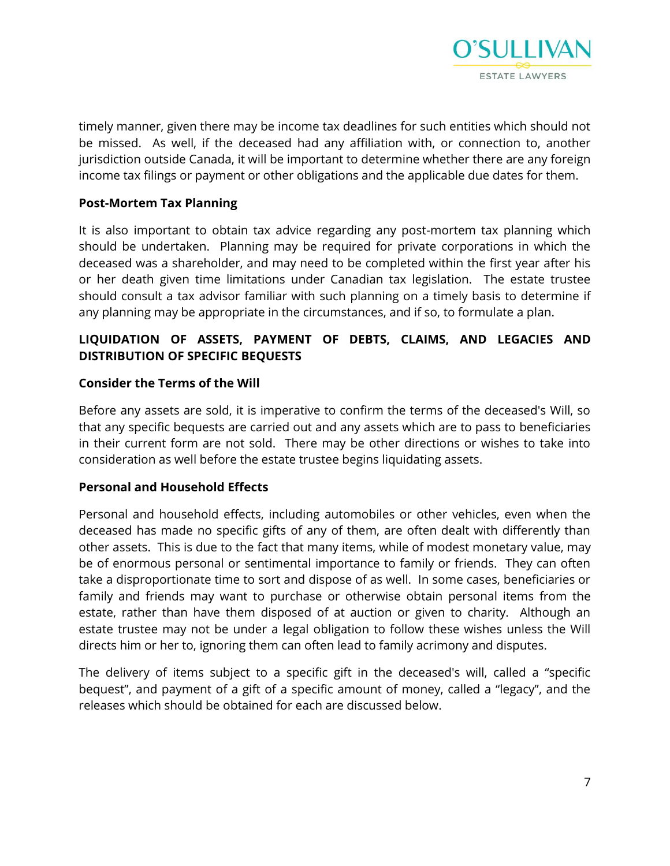

timely manner, given there may be income tax deadlines for such entities which should not be missed. As well, if the deceased had any affiliation with, or connection to, another jurisdiction outside Canada, it will be important to determine whether there are any foreign income tax filings or payment or other obligations and the applicable due dates for them.

# **Post-Mortem Tax Planning**

It is also important to obtain tax advice regarding any post-mortem tax planning which should be undertaken. Planning may be required for private corporations in which the deceased was a shareholder, and may need to be completed within the first year after his or her death given time limitations under Canadian tax legislation. The estate trustee should consult a tax advisor familiar with such planning on a timely basis to determine if any planning may be appropriate in the circumstances, and if so, to formulate a plan.

# **LIQUIDATION OF ASSETS, PAYMENT OF DEBTS, CLAIMS, AND LEGACIES AND DISTRIBUTION OF SPECIFIC BEQUESTS**

# **Consider the Terms of the Will**

Before any assets are sold, it is imperative to confirm the terms of the deceased's Will, so that any specific bequests are carried out and any assets which are to pass to beneficiaries in their current form are not sold. There may be other directions or wishes to take into consideration as well before the estate trustee begins liquidating assets.

# **Personal and Household Effects**

Personal and household effects, including automobiles or other vehicles, even when the deceased has made no specific gifts of any of them, are often dealt with differently than other assets. This is due to the fact that many items, while of modest monetary value, may be of enormous personal or sentimental importance to family or friends. They can often take a disproportionate time to sort and dispose of as well. In some cases, beneficiaries or family and friends may want to purchase or otherwise obtain personal items from the estate, rather than have them disposed of at auction or given to charity. Although an estate trustee may not be under a legal obligation to follow these wishes unless the Will directs him or her to, ignoring them can often lead to family acrimony and disputes.

The delivery of items subject to a specific gift in the deceased's will, called a "specific bequest", and payment of a gift of a specific amount of money, called a "legacy", and the releases which should be obtained for each are discussed below.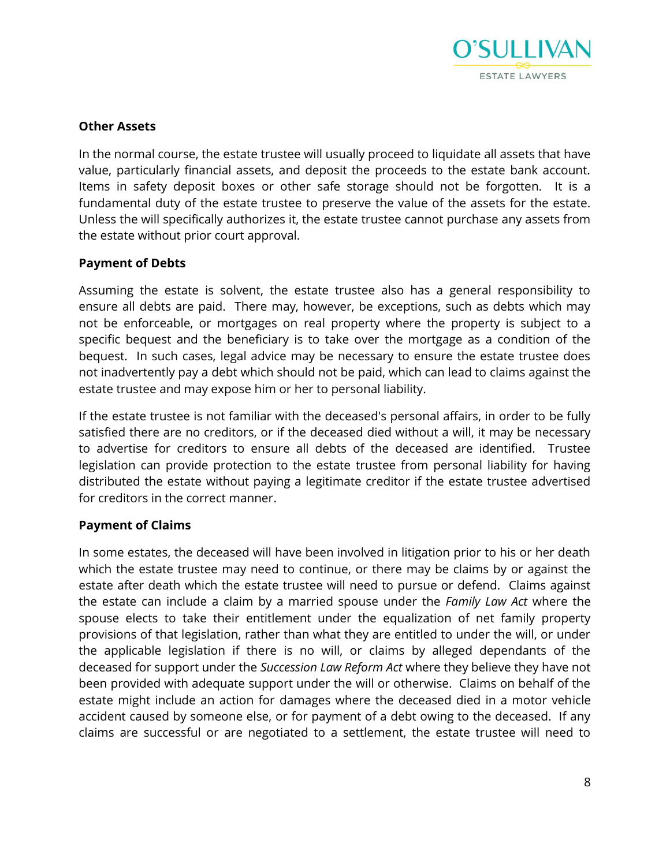

# **Other Assets**

In the normal course, the estate trustee will usually proceed to liquidate all assets that have value, particularly financial assets, and deposit the proceeds to the estate bank account. Items in safety deposit boxes or other safe storage should not be forgotten. It is a fundamental duty of the estate trustee to preserve the value of the assets for the estate. Unless the will specifically authorizes it, the estate trustee cannot purchase any assets from the estate without prior court approval.

#### **Payment of Debts**

Assuming the estate is solvent, the estate trustee also has a general responsibility to ensure all debts are paid. There may, however, be exceptions, such as debts which may not be enforceable, or mortgages on real property where the property is subject to a specific bequest and the beneficiary is to take over the mortgage as a condition of the bequest. In such cases, legal advice may be necessary to ensure the estate trustee does not inadvertently pay a debt which should not be paid, which can lead to claims against the estate trustee and may expose him or her to personal liability.

If the estate trustee is not familiar with the deceased's personal affairs, in order to be fully satisfied there are no creditors, or if the deceased died without a will, it may be necessary to advertise for creditors to ensure all debts of the deceased are identified. Trustee legislation can provide protection to the estate trustee from personal liability for having distributed the estate without paying a legitimate creditor if the estate trustee advertised for creditors in the correct manner.

# **Payment of Claims**

In some estates, the deceased will have been involved in litigation prior to his or her death which the estate trustee may need to continue, or there may be claims by or against the estate after death which the estate trustee will need to pursue or defend. Claims against the estate can include a claim by a married spouse under the *Family Law Act* where the spouse elects to take their entitlement under the equalization of net family property provisions of that legislation, rather than what they are entitled to under the will, or under the applicable legislation if there is no will, or claims by alleged dependants of the deceased for support under the *Succession Law Reform Act* where they believe they have not been provided with adequate support under the will or otherwise. Claims on behalf of the estate might include an action for damages where the deceased died in a motor vehicle accident caused by someone else, or for payment of a debt owing to the deceased. If any claims are successful or are negotiated to a settlement, the estate trustee will need to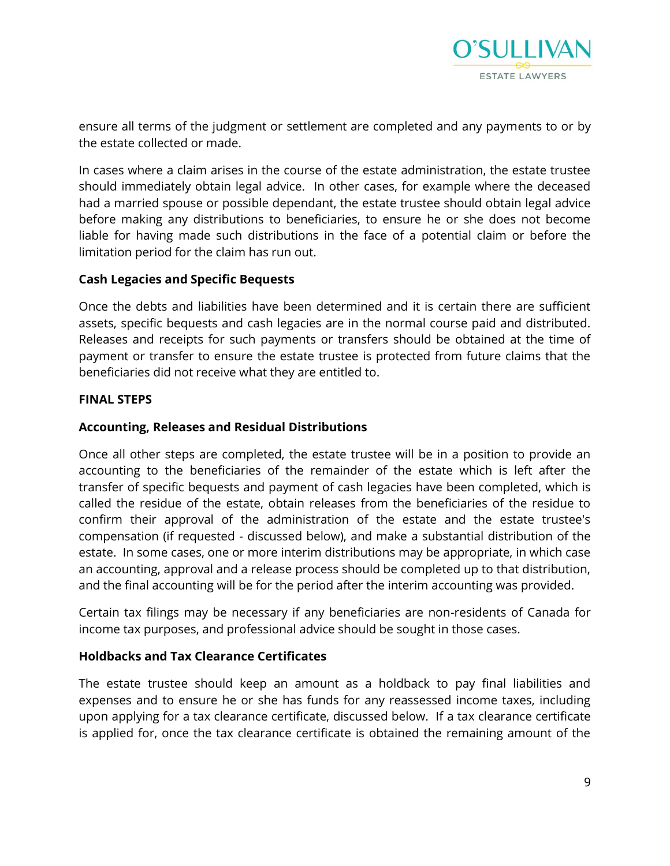

ensure all terms of the judgment or settlement are completed and any payments to or by the estate collected or made.

In cases where a claim arises in the course of the estate administration, the estate trustee should immediately obtain legal advice. In other cases, for example where the deceased had a married spouse or possible dependant, the estate trustee should obtain legal advice before making any distributions to beneficiaries, to ensure he or she does not become liable for having made such distributions in the face of a potential claim or before the limitation period for the claim has run out.

# **Cash Legacies and Specific Bequests**

Once the debts and liabilities have been determined and it is certain there are sufficient assets, specific bequests and cash legacies are in the normal course paid and distributed. Releases and receipts for such payments or transfers should be obtained at the time of payment or transfer to ensure the estate trustee is protected from future claims that the beneficiaries did not receive what they are entitled to.

#### **FINAL STEPS**

# **Accounting, Releases and Residual Distributions**

Once all other steps are completed, the estate trustee will be in a position to provide an accounting to the beneficiaries of the remainder of the estate which is left after the transfer of specific bequests and payment of cash legacies have been completed, which is called the residue of the estate, obtain releases from the beneficiaries of the residue to confirm their approval of the administration of the estate and the estate trustee's compensation (if requested - discussed below), and make a substantial distribution of the estate. In some cases, one or more interim distributions may be appropriate, in which case an accounting, approval and a release process should be completed up to that distribution, and the final accounting will be for the period after the interim accounting was provided.

Certain tax filings may be necessary if any beneficiaries are non-residents of Canada for income tax purposes, and professional advice should be sought in those cases.

# **Holdbacks and Tax Clearance Certificates**

The estate trustee should keep an amount as a holdback to pay final liabilities and expenses and to ensure he or she has funds for any reassessed income taxes, including upon applying for a tax clearance certificate, discussed below. If a tax clearance certificate is applied for, once the tax clearance certificate is obtained the remaining amount of the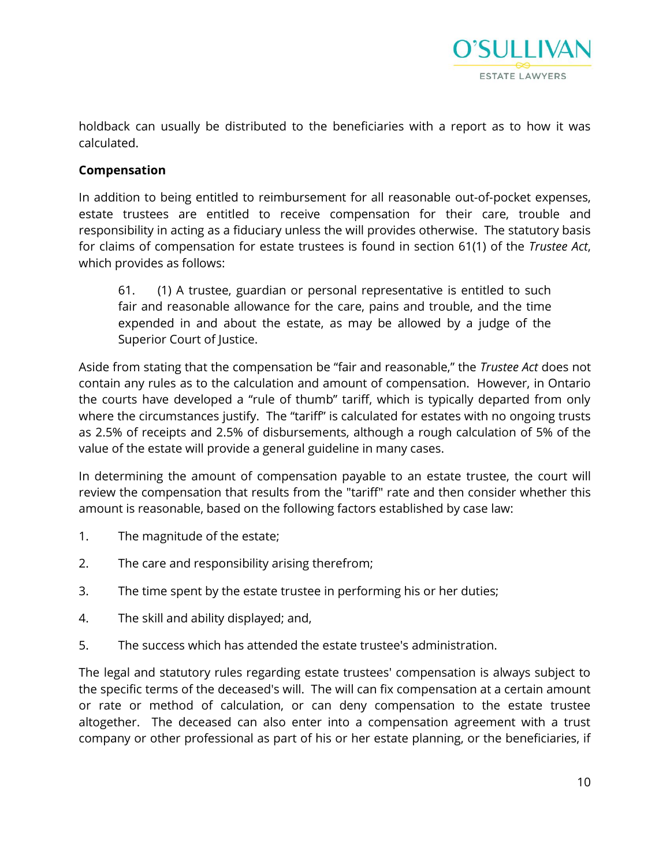

holdback can usually be distributed to the beneficiaries with a report as to how it was calculated.

# **Compensation**

In addition to being entitled to reimbursement for all reasonable out-of-pocket expenses, estate trustees are entitled to receive compensation for their care, trouble and responsibility in acting as a fiduciary unless the will provides otherwise. The statutory basis for claims of compensation for estate trustees is found in section 61(1) of the *Trustee Act*, which provides as follows:

61. (1) A trustee, guardian or personal representative is entitled to such fair and reasonable allowance for the care, pains and trouble, and the time expended in and about the estate, as may be allowed by a judge of the Superior Court of Justice.

Aside from stating that the compensation be "fair and reasonable," the *Trustee Act* does not contain any rules as to the calculation and amount of compensation. However, in Ontario the courts have developed a "rule of thumb" tariff, which is typically departed from only where the circumstances justify. The "tariff" is calculated for estates with no ongoing trusts as 2.5% of receipts and 2.5% of disbursements, although a rough calculation of 5% of the value of the estate will provide a general guideline in many cases.

In determining the amount of compensation payable to an estate trustee, the court will review the compensation that results from the "tariff" rate and then consider whether this amount is reasonable, based on the following factors established by case law:

- 1. The magnitude of the estate;
- 2. The care and responsibility arising therefrom;
- 3. The time spent by the estate trustee in performing his or her duties;
- 4. The skill and ability displayed; and,
- 5. The success which has attended the estate trustee's administration.

The legal and statutory rules regarding estate trustees' compensation is always subject to the specific terms of the deceased's will. The will can fix compensation at a certain amount or rate or method of calculation, or can deny compensation to the estate trustee altogether. The deceased can also enter into a compensation agreement with a trust company or other professional as part of his or her estate planning, or the beneficiaries, if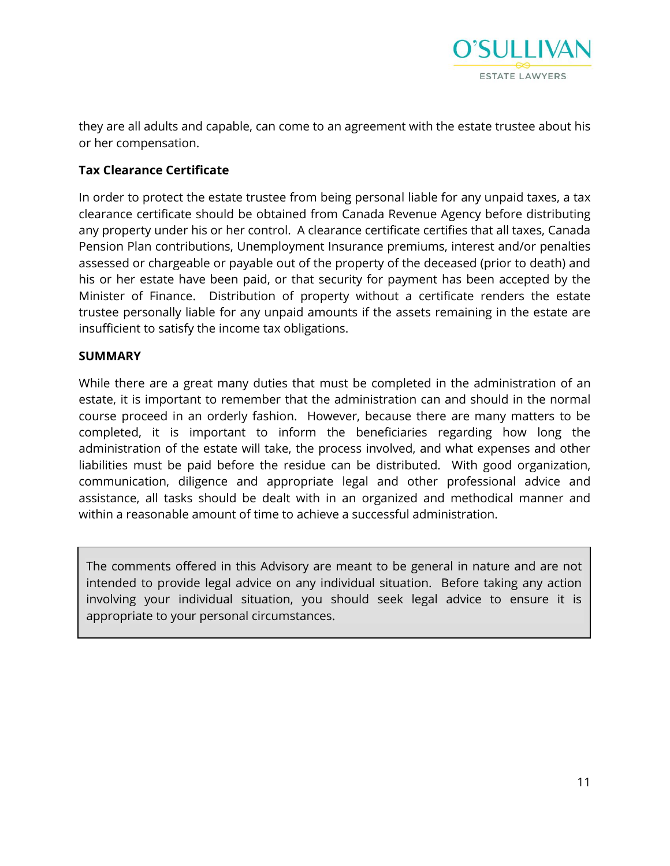

they are all adults and capable, can come to an agreement with the estate trustee about his or her compensation.

# **Tax Clearance Certificate**

In order to protect the estate trustee from being personal liable for any unpaid taxes, a tax clearance certificate should be obtained from Canada Revenue Agency before distributing any property under his or her control. A clearance certificate certifies that all taxes, Canada Pension Plan contributions, Unemployment Insurance premiums, interest and/or penalties assessed or chargeable or payable out of the property of the deceased (prior to death) and his or her estate have been paid, or that security for payment has been accepted by the Minister of Finance. Distribution of property without a certificate renders the estate trustee personally liable for any unpaid amounts if the assets remaining in the estate are insufficient to satisfy the income tax obligations.

#### **SUMMARY**

While there are a great many duties that must be completed in the administration of an estate, it is important to remember that the administration can and should in the normal course proceed in an orderly fashion. However, because there are many matters to be completed, it is important to inform the beneficiaries regarding how long the administration of the estate will take, the process involved, and what expenses and other liabilities must be paid before the residue can be distributed. With good organization, communication, diligence and appropriate legal and other professional advice and assistance, all tasks should be dealt with in an organized and methodical manner and within a reasonable amount of time to achieve a successful administration.

The comments offered in this Advisory are meant to be general in nature and are not intended to provide legal advice on any individual situation. Before taking any action involving your individual situation, you should seek legal advice to ensure it is appropriate to your personal circumstances.